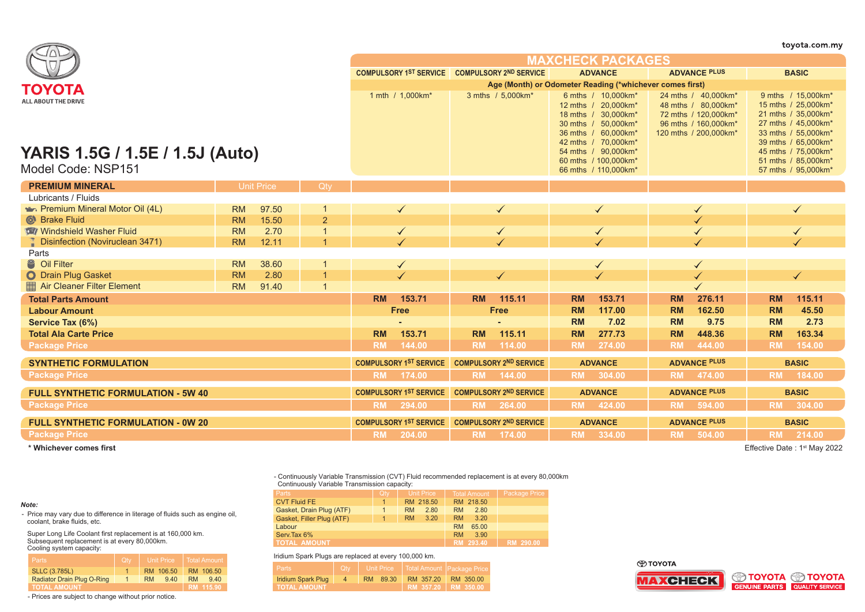|                                                                                     |           |                   |                               |           |                                                          |           |                               |                |                                                                                                                                                                                                              |                     |                                                                                                                     |              | toyota.com.my                                                                                                                                                                                              |
|-------------------------------------------------------------------------------------|-----------|-------------------|-------------------------------|-----------|----------------------------------------------------------|-----------|-------------------------------|----------------|--------------------------------------------------------------------------------------------------------------------------------------------------------------------------------------------------------------|---------------------|---------------------------------------------------------------------------------------------------------------------|--------------|------------------------------------------------------------------------------------------------------------------------------------------------------------------------------------------------------------|
|                                                                                     |           |                   | <b>MAXCHECK PACKAGES</b>      |           |                                                          |           |                               |                |                                                                                                                                                                                                              |                     |                                                                                                                     |              |                                                                                                                                                                                                            |
|                                                                                     |           |                   |                               |           | COMPULSORY 1ST SERVICE COMPULSORY 2ND SERVICE            |           |                               | <b>ADVANCE</b> |                                                                                                                                                                                                              | <b>ADVANCE PLUS</b> |                                                                                                                     | <b>BASIC</b> |                                                                                                                                                                                                            |
| ΤΟΥΟΤΑ                                                                              |           |                   |                               |           | Age (Month) or Odometer Reading (*whichever comes first) |           |                               |                |                                                                                                                                                                                                              |                     |                                                                                                                     |              |                                                                                                                                                                                                            |
| <b>ALL ABOUT THE DRIVE</b><br>YARIS 1.5G / 1.5E / 1.5J (Auto)<br>Model Code: NSP151 |           |                   |                               |           | 1 mth / 1,000km*                                         |           | 3 mths / 5,000km*             |                | 6 mths / 10,000km*<br>12 mths / 20,000km*<br>18 mths / 30,000km*<br>30 mths / 50,000km*<br>36 mths / 60,000km*<br>42 mths / 70,000km*<br>54 mths / 90,000km*<br>60 mths / 100,000km*<br>66 mths / 110,000km* |                     | 24 mths / 40,000km*<br>48 mths / 80,000km*<br>72 mths / 120,000km*<br>96 mths / 160,000km*<br>120 mths / 200,000km* |              | 9 mths / 15,000km*<br>15 mths / 25,000km*<br>21 mths / 35,000km*<br>27 mths / 45,000km*<br>33 mths / 55,000km*<br>39 mths / 65,000km*<br>45 mths / 75,000km*<br>51 mths / 85,000km*<br>57 mths / 95,000km* |
| <b>PREMIUM MINERAL</b>                                                              |           | <b>Unit Price</b> | Qty                           |           |                                                          |           |                               |                |                                                                                                                                                                                                              |                     |                                                                                                                     |              |                                                                                                                                                                                                            |
| Lubricants / Fluids                                                                 |           |                   |                               |           |                                                          |           |                               |                |                                                                                                                                                                                                              |                     |                                                                                                                     |              |                                                                                                                                                                                                            |
| Premium Mineral Motor Oil (4L)                                                      | <b>RM</b> | 97.50             |                               | ✓         |                                                          |           |                               |                |                                                                                                                                                                                                              |                     |                                                                                                                     |              |                                                                                                                                                                                                            |
| <b>C</b> Brake Fluid                                                                | <b>RM</b> | 15.50             | $\overline{2}$                |           |                                                          |           |                               |                |                                                                                                                                                                                                              |                     |                                                                                                                     |              |                                                                                                                                                                                                            |
| <b>Windshield Washer Fluid</b>                                                      | <b>RM</b> | 2.70              | $\overline{1}$                |           |                                                          |           |                               |                |                                                                                                                                                                                                              |                     |                                                                                                                     |              |                                                                                                                                                                                                            |
| <b>Disinfection (Noviruclean 3471)</b>                                              | <b>RM</b> | 12.11             |                               |           |                                                          |           |                               |                |                                                                                                                                                                                                              |                     |                                                                                                                     |              |                                                                                                                                                                                                            |
| Parts                                                                               |           |                   |                               |           |                                                          |           |                               |                |                                                                                                                                                                                                              |                     |                                                                                                                     |              |                                                                                                                                                                                                            |
| <sup>8</sup> Oil Filter                                                             | <b>RM</b> | 38.60             |                               | ✓         |                                                          |           |                               |                |                                                                                                                                                                                                              |                     |                                                                                                                     |              |                                                                                                                                                                                                            |
| O Drain Plug Gasket                                                                 | <b>RM</b> | 2.80              | $\overline{1}$                |           |                                                          |           | $\checkmark$                  |                |                                                                                                                                                                                                              |                     |                                                                                                                     |              |                                                                                                                                                                                                            |
| Air Cleaner Filter Element                                                          | <b>RM</b> | 91.40             | $\overline{1}$                |           |                                                          |           |                               |                |                                                                                                                                                                                                              |                     |                                                                                                                     |              |                                                                                                                                                                                                            |
| <b>Total Parts Amount</b>                                                           |           |                   |                               | <b>RM</b> | 153.71                                                   | <b>RM</b> | 115.11                        | <b>RM</b>      | 153.71                                                                                                                                                                                                       | <b>RM</b>           | 276.11                                                                                                              | <b>RM</b>    | 115.11                                                                                                                                                                                                     |
| <b>Labour Amount</b>                                                                |           |                   |                               |           | Free                                                     |           | Free                          | <b>RM</b>      | 117.00                                                                                                                                                                                                       | <b>RM</b>           | 162.50                                                                                                              | <b>RM</b>    | 45.50                                                                                                                                                                                                      |
| Service Tax (6%)                                                                    |           |                   |                               |           |                                                          |           |                               | <b>RM</b>      | 7.02                                                                                                                                                                                                         | <b>RM</b>           | 9.75                                                                                                                | <b>RM</b>    | 2.73                                                                                                                                                                                                       |
| <b>Total Ala Carte Price</b>                                                        |           |                   |                               | <b>RM</b> | 153.71                                                   | <b>RM</b> | 115.11                        | <b>RM</b>      | 277.73                                                                                                                                                                                                       | <b>RM</b>           | 448.36                                                                                                              | <b>RM</b>    | 163.34                                                                                                                                                                                                     |
| <b>Package Price</b>                                                                |           |                   |                               | <b>RM</b> | 144.00                                                   | <b>RM</b> | 114.00                        | <b>RM</b>      | 274.00                                                                                                                                                                                                       | <b>RM</b>           | 444.00                                                                                                              | <b>RM</b>    | 154.00                                                                                                                                                                                                     |
| <b>SYNTHETIC FORMULATION</b>                                                        |           |                   |                               |           | <b>COMPULSORY 1ST SERVICE</b>                            |           | <b>COMPULSORY 2ND SERVICE</b> |                | <b>ADVANCE</b>                                                                                                                                                                                               |                     | <b>ADVANCE PLUS</b>                                                                                                 |              | <b>BASIC</b>                                                                                                                                                                                               |
| <b>Package Price</b>                                                                |           |                   |                               | <b>RM</b> | 174.00                                                   | <b>RM</b> | 144.00                        | <b>RM</b>      | 304.00                                                                                                                                                                                                       | <b>RM</b>           | 474.00                                                                                                              | <b>RM</b>    | 184.00                                                                                                                                                                                                     |
| <b>FULL SYNTHETIC FORMULATION - 5W 40</b>                                           |           |                   | <b>COMPULSORY 1ST SERVICE</b> |           | <b>COMPULSORY 2ND SERVICE</b>                            |           | <b>ADVANCE</b>                |                | <b>ADVANCE PLUS</b>                                                                                                                                                                                          |                     | <b>BASIC</b>                                                                                                        |              |                                                                                                                                                                                                            |
| <b>Package Price</b>                                                                |           |                   |                               | <b>RM</b> | 294.00                                                   |           | RM 264.00                     |                | RM 424.00                                                                                                                                                                                                    |                     | RM 594.00                                                                                                           |              | RM 304.00                                                                                                                                                                                                  |
| <b>FULL SYNTHETIC FORMULATION - 0W 20</b>                                           |           |                   |                               |           | <b>COMPULSORY 1ST SERVICE</b>                            |           | <b>COMPULSORY 2ND SERVICE</b> |                | <b>ADVANCE</b>                                                                                                                                                                                               |                     | <b>ADVANCE PLUS</b>                                                                                                 |              | <b>BASIC</b>                                                                                                                                                                                               |
| <b>Package Price</b>                                                                |           |                   |                               | <b>RM</b> | 204.00                                                   | <b>RM</b> | 174.00                        |                | RM 334.00                                                                                                                                                                                                    |                     | RM 504.00                                                                                                           |              | RM 214.00                                                                                                                                                                                                  |

**\* Whichever comes first**

coolant, brake fluids, etc.

Cooling system capacity:

*Note:*

Effective Date : 1st May 2022

- Continuously Variable Transmission (CVT) Fluid recommended replacement is at every 80,000km Continuously Variable Transmission capacity:

| <b>Parts</b>              | Qty | Unit Price        | <b>Total Amount</b> | Package Price |
|---------------------------|-----|-------------------|---------------------|---------------|
| <b>CVT Fluid FE</b>       |     | RM 218.50         | RM 218.50           |               |
| Gasket, Drain Plug (ATF)  |     | 2.80<br><b>RM</b> | <b>RM</b><br>2.80   |               |
| Gasket, Filler Plug (ATF) |     | 3.20<br><b>RM</b> | <b>RM</b><br>3.20   |               |
| Labour                    |     |                   | 65.00<br><b>RM</b>  |               |
| Serv.Tax 6%               |     |                   | <b>RM</b><br>3.90   |               |
| <b>TOTAL AMOUNT</b>       |     |                   | RM 293.40           | RM 290.00     |

Iridium Spark Plugs are replaced at every 100,000 km.

| Parts               | <b>Qtv</b> |             |                     | Unit Price   Total Amount   Package Price |
|---------------------|------------|-------------|---------------------|-------------------------------------------|
| Iridium Spark Plug  |            | 89.30<br>RM | RM 357.20           | RM 350.00                                 |
| <b>TOTAL AMOUNT</b> |            |             | RM 357.20 RM 350.00 |                                           |

- Prices are subject to change without prior notice.

Radiator Drain Plug O-Ring | 1 | RM 9.40 | RM 9.40

**TOTAL AMOUNT RM 115.90**

SLLC (3.785L) 1 RM 106.50 RM 106.50 1

- Price may vary due to difference in literage of fluids such as engine oil,

Super Long Life Coolant first replacement is at 160,000 km. Subsequent replacement is at every 80,000km.

## ⊕тоүотд